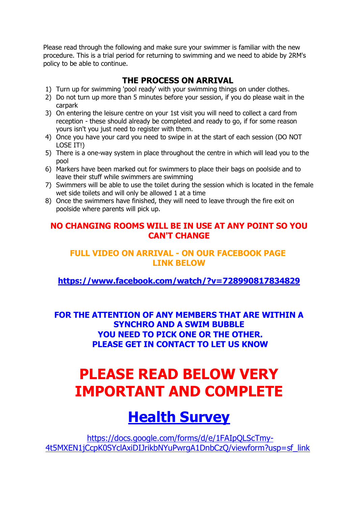Please read through the following and make sure your swimmer is familiar with the new procedure. This is a trial period for returning to swimming and we need to abide by 2RM's policy to be able to continue.

### **THE PROCESS ON ARRIVAL**

- 1) Turn up for swimming 'pool ready' with your swimming things on under clothes.
- 2) Do not turn up more than 5 minutes before your session, if you do please wait in the carpark
- 3) On entering the leisure centre on your 1st visit you will need to collect a card from reception - these should already be completed and ready to go, if for some reason yours isn't you just need to register with them.
- 4) Once you have your card you need to swipe in at the start of each session (DO NOT LOSE IT!)
- 5) There is a one-way system in place throughout the centre in which will lead you to the pool
- 6) Markers have been marked out for swimmers to place their bags on poolside and to leave their stuff while swimmers are swimming
- 7) Swimmers will be able to use the toilet during the session which is located in the female wet side toilets and will only be allowed 1 at a time
- 8) Once the swimmers have finished, they will need to leave through the fire exit on poolside where parents will pick up.

### **NO CHANGING ROOMS WILL BE IN USE AT ANY POINT SO YOU CAN'T CHANGE**

### **FULL VIDEO ON ARRIVAL - ON OUR FACEBOOK PAGE LINK BELOW**

**<https://www.facebook.com/watch/?v=728990817834829>**

**FOR THE ATTENTION OF ANY MEMBERS THAT ARE WITHIN A SYNCHRO AND A SWIM BUBBLE YOU NEED TO PICK ONE OR THE OTHER. PLEASE GET IN CONTACT TO LET US KNOW**

# **PLEASE READ BELOW VERY IMPORTANT AND COMPLETE**

## **Health Survey**

[https://docs.google.com/forms/d/e/1FAIpQLScTmy-](https://docs.google.com/forms/d/e/1FAIpQLScTmy-4t5MXEN1jCcpK0SYclAxiDIJrikbNYuPwrgA1DnbCzQ/viewform?usp=sf_link)[4t5MXEN1jCcpK0SYclAxiDIJrikbNYuPwrgA1DnbCzQ/viewform?usp=sf\\_link](https://docs.google.com/forms/d/e/1FAIpQLScTmy-4t5MXEN1jCcpK0SYclAxiDIJrikbNYuPwrgA1DnbCzQ/viewform?usp=sf_link)